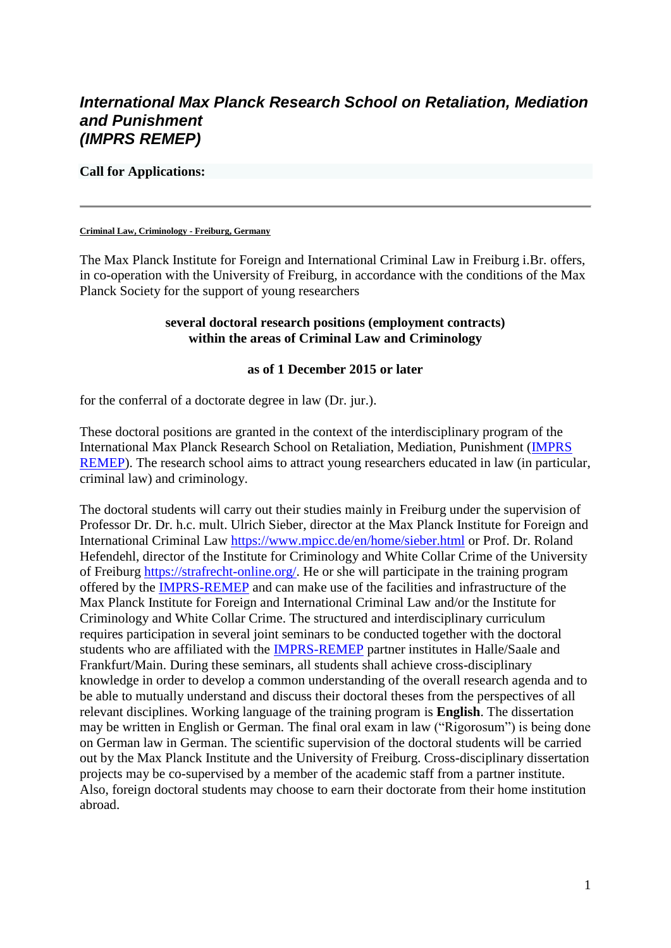# *International Max Planck Research School on Retaliation, Mediation and Punishment (IMPRS REMEP)*

#### **Call for Applications:**

#### **Criminal Law, Criminology - Freiburg, Germany**

The Max Planck Institute for Foreign and International Criminal Law in Freiburg i.Br. offers, in co-operation with the University of Freiburg, in accordance with the conditions of the Max Planck Society for the support of young researchers

#### **several doctoral research positions (employment contracts) within the areas of Criminal Law and Criminology**

#### **as of 1 December 2015 or later**

for the conferral of a doctorate degree in law (Dr. jur.).

These doctoral positions are granted in the context of the interdisciplinary program of the International Max Planck Research School on Retaliation, Mediation, Punishment [\(IMPRS](http://www.remep.mpg.de/)  [REMEP\)](http://www.remep.mpg.de/). The research school aims to attract young researchers educated in law (in particular, criminal law) and criminology.

The doctoral students will carry out their studies mainly in Freiburg under the supervision of Professor Dr. Dr. h.c. mult. Ulrich Sieber, director at the Max Planck Institute for Foreign and International Criminal Law <https://www.mpicc.de/en/home/sieber.html> or Prof. Dr. Roland Hefendehl, director of the Institute for Criminology and White Collar Crime of the University of Freiburg [https://strafrecht-online.org/.](https://strafrecht-online.org/) He or she will participate in the training program offered by the [IMPRS-REMEP](http://www.remep.mpg.de/) and can make use of the facilities and infrastructure of the Max Planck Institute for Foreign and International Criminal Law and/or the Institute for Criminology and White Collar Crime. The structured and interdisciplinary curriculum requires participation in several joint seminars to be conducted together with the doctoral students who are affiliated with the [IMPRS-REMEP](http://www.remep.mpg.de/) partner institutes in Halle/Saale and Frankfurt/Main. During these seminars, all students shall achieve cross-disciplinary knowledge in order to develop a common understanding of the overall research agenda and to be able to mutually understand and discuss their doctoral theses from the perspectives of all relevant disciplines. Working language of the training program is **English**. The dissertation may be written in English or German. The final oral exam in law ("Rigorosum") is being done on German law in German. The scientific supervision of the doctoral students will be carried out by the Max Planck Institute and the University of Freiburg. Cross-disciplinary dissertation projects may be co-supervised by a member of the academic staff from a partner institute. Also, foreign doctoral students may choose to earn their doctorate from their home institution abroad.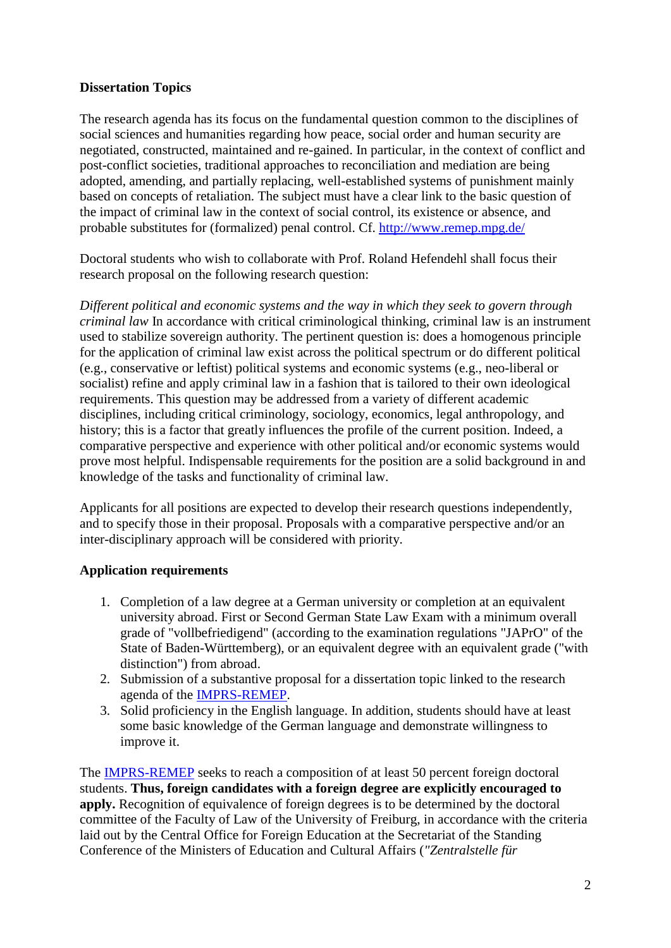## **Dissertation Topics**

The research agenda has its focus on the fundamental question common to the disciplines of social sciences and humanities regarding how peace, social order and human security are negotiated, constructed, maintained and re-gained. In particular, in the context of conflict and post-conflict societies, traditional approaches to reconciliation and mediation are being adopted, amending, and partially replacing, well-established systems of punishment mainly based on concepts of retaliation. The subject must have a clear link to the basic question of the impact of criminal law in the context of social control, its existence or absence, and probable substitutes for (formalized) penal control. Cf.<http://www.remep.mpg.de/>

Doctoral students who wish to collaborate with Prof. Roland Hefendehl shall focus their research proposal on the following research question:

*Different political and economic systems and the way in which they seek to govern through criminal law* In accordance with critical criminological thinking, criminal law is an instrument used to stabilize sovereign authority. The pertinent question is: does a homogenous principle for the application of criminal law exist across the political spectrum or do different political (e.g., conservative or leftist) political systems and economic systems (e.g., neo-liberal or socialist) refine and apply criminal law in a fashion that is tailored to their own ideological requirements. This question may be addressed from a variety of different academic disciplines, including critical criminology, sociology, economics, legal anthropology, and history; this is a factor that greatly influences the profile of the current position. Indeed, a comparative perspective and experience with other political and/or economic systems would prove most helpful. Indispensable requirements for the position are a solid background in and knowledge of the tasks and functionality of criminal law.

Applicants for all positions are expected to develop their research questions independently, and to specify those in their proposal. Proposals with a comparative perspective and/or an inter-disciplinary approach will be considered with priority.

## **Application requirements**

- 1. Completion of a law degree at a German university or completion at an equivalent university abroad. First or Second German State Law Exam with a minimum overall grade of "vollbefriedigend" (according to the examination regulations "JAPrO" of the State of Baden-Württemberg), or an equivalent degree with an equivalent grade ("with distinction") from abroad.
- 2. Submission of a substantive proposal for a dissertation topic linked to the research agenda of the [IMPRS-REMEP.](http://www.remep.mpg.de/)
- 3. Solid proficiency in the English language. In addition, students should have at least some basic knowledge of the German language and demonstrate willingness to improve it.

The [IMPRS-REMEP](http://www.remep.mpg.de/) seeks to reach a composition of at least 50 percent foreign doctoral students. **Thus, foreign candidates with a foreign degree are explicitly encouraged to apply.** Recognition of equivalence of foreign degrees is to be determined by the doctoral committee of the Faculty of Law of the University of Freiburg, in accordance with the criteria laid out by the Central Office for Foreign Education at the Secretariat of the Standing Conference of the Ministers of Education and Cultural Affairs (*"Zentralstelle für*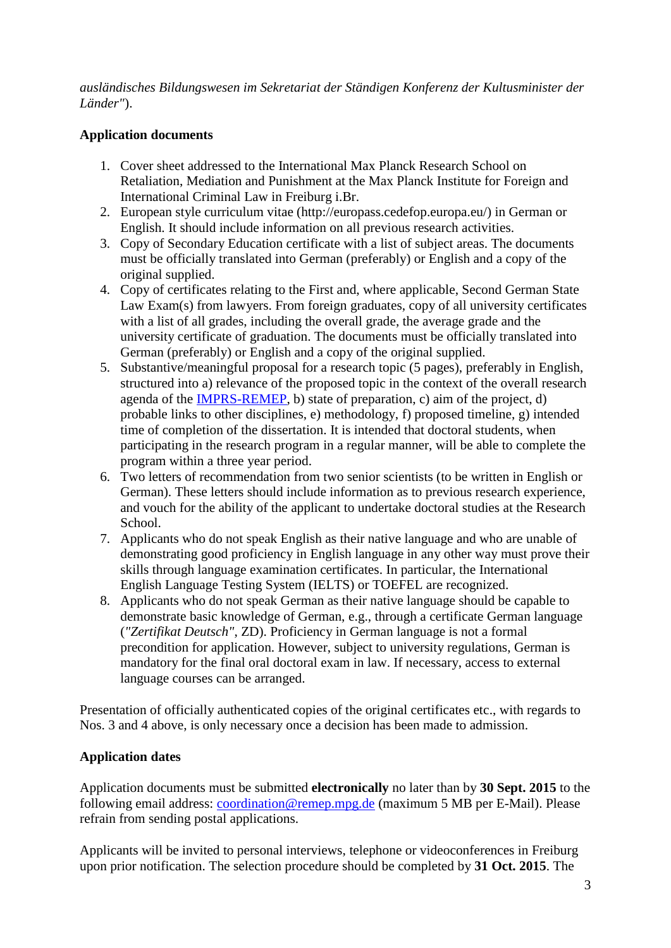*ausländisches Bildungswesen im Sekretariat der Ständigen Konferenz der Kultusminister der Länder"*).

# **Application documents**

- 1. Cover sheet addressed to the International Max Planck Research School on Retaliation, Mediation and Punishment at the Max Planck Institute for Foreign and International Criminal Law in Freiburg i.Br.
- 2. European style curriculum vitae (http://europass.cedefop.europa.eu/) in German or English. It should include information on all previous research activities.
- 3. Copy of Secondary Education certificate with a list of subject areas. The documents must be officially translated into German (preferably) or English and a copy of the original supplied.
- 4. Copy of certificates relating to the First and, where applicable, Second German State Law Exam(s) from lawyers. From foreign graduates, copy of all university certificates with a list of all grades, including the overall grade, the average grade and the university certificate of graduation. The documents must be officially translated into German (preferably) or English and a copy of the original supplied.
- 5. Substantive/meaningful proposal for a research topic (5 pages), preferably in English, structured into a) relevance of the proposed topic in the context of the overall research agenda of the [IMPRS-REMEP,](http://www.remep.mpg.de/) b) state of preparation, c) aim of the project, d) probable links to other disciplines, e) methodology, f) proposed timeline, g) intended time of completion of the dissertation. It is intended that doctoral students, when participating in the research program in a regular manner, will be able to complete the program within a three year period.
- 6. Two letters of recommendation from two senior scientists (to be written in English or German). These letters should include information as to previous research experience, and vouch for the ability of the applicant to undertake doctoral studies at the Research School.
- 7. Applicants who do not speak English as their native language and who are unable of demonstrating good proficiency in English language in any other way must prove their skills through language examination certificates. In particular, the International English Language Testing System (IELTS) or TOEFEL are recognized.
- 8. Applicants who do not speak German as their native language should be capable to demonstrate basic knowledge of German, e.g., through a certificate German language (*"Zertifikat Deutsch"*, ZD). Proficiency in German language is not a formal precondition for application. However, subject to university regulations, German is mandatory for the final oral doctoral exam in law. If necessary, access to external language courses can be arranged.

Presentation of officially authenticated copies of the original certificates etc., with regards to Nos. 3 and 4 above, is only necessary once a decision has been made to admission.

# **Application dates**

Application documents must be submitted **electronically** no later than by **30 Sept. 2015** to the following email address: [coordination@remep.mpg.de](mailto:coordination@remep.mpg.de) (maximum 5 MB per E-Mail). Please refrain from sending postal applications.

Applicants will be invited to personal interviews, telephone or videoconferences in Freiburg upon prior notification. The selection procedure should be completed by **31 Oct. 2015**. The